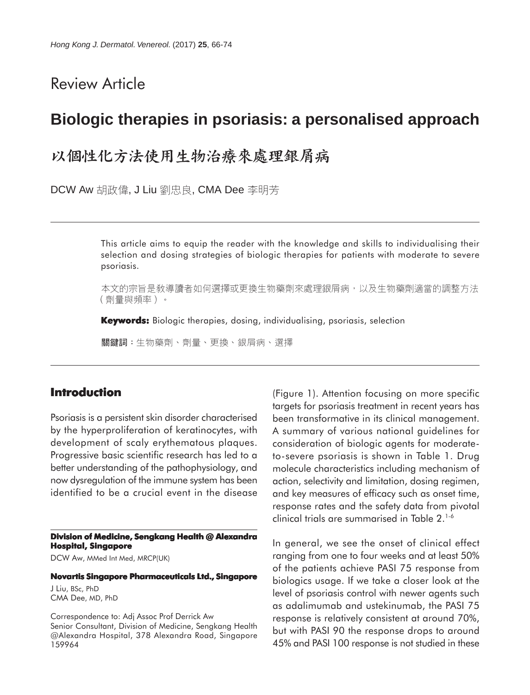# Review Article

# **Biologic therapies in psoriasis: a personalised approach**

# 以個性化方法使用生物治療來處理銀屑病

DCW Aw 胡政偉, J Liu 劉忠良, CMA Dee 李明芳

This article aims to equip the reader with the knowledge and skills to individualising their selection and dosing strategies of biologic therapies for patients with moderate to severe psoriasis.

本文的宗旨是敎導讀者如何選擇或更換生物藥劑來處理銀屑病,以及生物藥劑適當的調整方法 (劑量與頻率)。

**Keywords:** Biologic therapies, dosing, individualising, psoriasis, selection

關鍵詞:生物藥劑、劑量、更換、銀屑病、選擇

# **Introduction**

Psoriasis is a persistent skin disorder characterised by the hyperproliferation of keratinocytes, with development of scaly erythematous plaques. Progressive basic scientific research has led to a better understanding of the pathophysiology, and now dysregulation of the immune system has been identified to be a crucial event in the disease

**Division of Medicine, Sengkang Health @ Alexandra Hospital, Singapore**

DCW Aw, MMed Int Med, MRCP(UK)

## **Novartis Singapore Pharmaceuticals Ltd., Singapore**

J Liu, BSc, PhD CMA Dee, MD, PhD

Correspondence to: Adj Assoc Prof Derrick Aw Senior Consultant, Division of Medicine, Sengkang Health @Alexandra Hospital, 378 Alexandra Road, Singapore 159964

(Figure 1). Attention focusing on more specific targets for psoriasis treatment in recent years has been transformative in its clinical management. A summary of various national guidelines for consideration of biologic agents for moderateto-severe psoriasis is shown in Table 1. Drug molecule characteristics including mechanism of action, selectivity and limitation, dosing regimen, and key measures of efficacy such as onset time, response rates and the safety data from pivotal clinical trials are summarised in Table 2.1-6

In general, we see the onset of clinical effect ranging from one to four weeks and at least 50% of the patients achieve PASI 75 response from biologics usage. If we take a closer look at the level of psoriasis control with newer agents such as adalimumab and ustekinumab, the PASI 75 response is relatively consistent at around 70%, but with PASI 90 the response drops to around 45% and PASI 100 response is not studied in these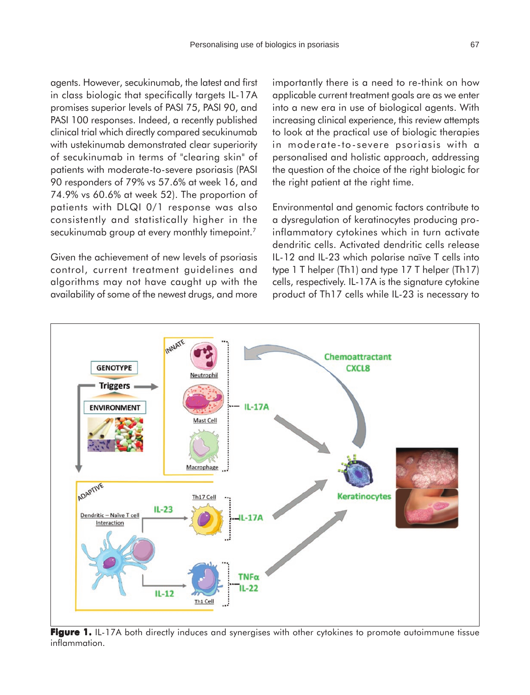agents. However, secukinumab, the latest and first in class biologic that specifically targets IL-17A promises superior levels of PASI 75, PASI 90, and PASI 100 responses. Indeed, a recently published clinical trial which directly compared secukinumab with ustekinumab demonstrated clear superiority of secukinumab in terms of "clearing skin" of patients with moderate-to-severe psoriasis (PASI 90 responders of 79% vs 57.6% at week 16, and 74.9% vs 60.6% at week 52). The proportion of patients with DLQI 0/1 response was also consistently and statistically higher in the secukinumab group at every monthly timepoint.<sup>7</sup>

Given the achievement of new levels of psoriasis control, current treatment guidelines and algorithms may not have caught up with the availability of some of the newest drugs, and more importantly there is a need to re-think on how applicable current treatment goals are as we enter into a new era in use of biological agents. With increasing clinical experience, this review attempts to look at the practical use of biologic therapies in moderate-to-severe psoriasis with a personalised and holistic approach, addressing the question of the choice of the right biologic for the right patient at the right time.

Environmental and genomic factors contribute to a dysregulation of keratinocytes producing proinflammatory cytokines which in turn activate dendritic cells. Activated dendritic cells release IL-12 and IL-23 which polarise naïve T cells into type 1 T helper (Th1) and type 17 T helper (Th17) cells, respectively. IL-17A is the signature cytokine product of Th17 cells while IL-23 is necessary to



Figure 1. IL-17A both directly induces and synergises with other cytokines to promote autoimmune tissue inflammation.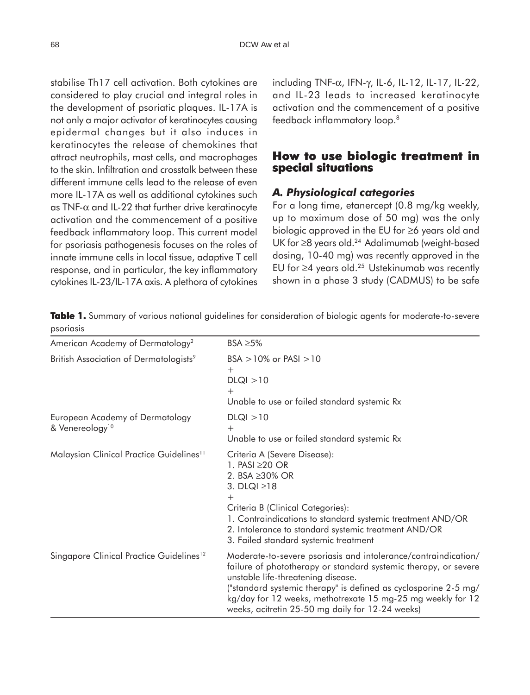stabilise Th17 cell activation. Both cytokines are considered to play crucial and integral roles in the development of psoriatic plaques. IL-17A is not only a major activator of keratinocytes causing epidermal changes but it also induces in keratinocytes the release of chemokines that attract neutrophils, mast cells, and macrophages to the skin. Infiltration and crosstalk between these different immune cells lead to the release of even more IL-17A as well as additional cytokines such as TNF- $\alpha$  and IL-22 that further drive keratinocyte activation and the commencement of a positive feedback inflammatory loop. This current model for psoriasis pathogenesis focuses on the roles of innate immune cells in local tissue, adaptive T cell response, and in particular, the key inflammatory cytokines IL-23/IL-17A axis. A plethora of cytokines including TNF-α, IFN-γ, IL-6, IL-12, IL-17, IL-22, and IL-23 leads to increased keratinocyte activation and the commencement of a positive feedback inflammatory loop.8

# **How to use biologic treatment in special situations**

# *A. Physiological categories*

For a long time, etanercept (0.8 mg/kg weekly, up to maximum dose of 50 mg) was the only biologic approved in the EU for ≥6 years old and UK for ≥8 years old.24 Adalimumab (weight-based dosing, 10-40 mg) was recently approved in the EU for  $\geq$ 4 years old.<sup>25</sup> Ustekinumab was recently shown in a phase 3 study (CADMUS) to be safe

**Table 1.** Summary of various national guidelines for consideration of biologic agents for moderate-to-severe psoriasis

| American Academy of Dermatology <sup>2</sup>                          | BSA $\geq$ 5%                                                                                                                                                                                                                                                                                                                                                 |
|-----------------------------------------------------------------------|---------------------------------------------------------------------------------------------------------------------------------------------------------------------------------------------------------------------------------------------------------------------------------------------------------------------------------------------------------------|
| British Association of Dermatologists <sup>9</sup>                    | $BSA > 10\%$ or PASI $>10$<br>$^{+}$<br>DLQI > 10<br>$^{+}$<br>Unable to use or failed standard systemic Rx                                                                                                                                                                                                                                                   |
| <b>European Academy of Dermatology</b><br>& Venereology <sup>10</sup> | DLQI > 10<br>$^{+}$<br>Unable to use or failed standard systemic Rx                                                                                                                                                                                                                                                                                           |
| Malaysian Clinical Practice Guidelines <sup>11</sup>                  | Criteria A (Severe Disease):<br>1. PASI $\geq$ 20 OR<br>2. BSA ≥30% OR<br>3. DLQI $\geq$ 18<br>$^+$<br>Criteria B (Clinical Categories):<br>1. Contraindications to standard systemic treatment AND/OR<br>2. Intolerance to standard systemic treatment AND/OR<br>3. Failed standard systemic treatment                                                       |
| Singapore Clinical Practice Guidelines <sup>12</sup>                  | Moderate-to-severe psoriasis and intolerance/contraindication/<br>failure of phototherapy or standard systemic therapy, or severe<br>unstable life-threatening disease.<br>("standard systemic therapy" is defined as cyclosporine 2-5 mg/<br>kg/day for 12 weeks, methotrexate 15 mg-25 mg weekly for 12<br>weeks, acitretin 25-50 mg daily for 12-24 weeks) |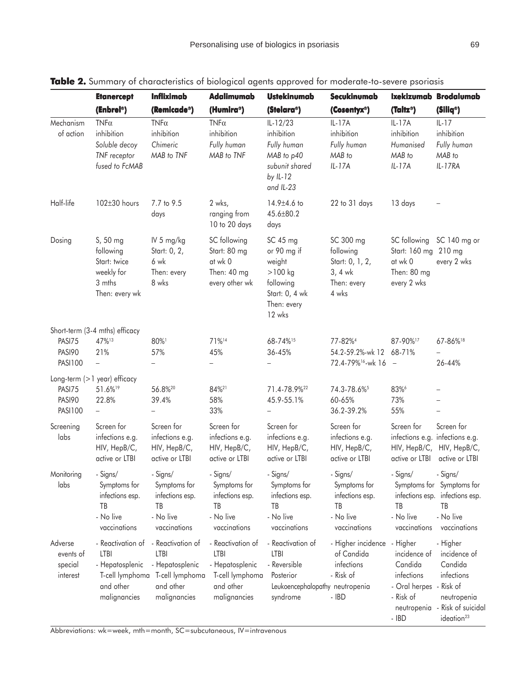|                                             | <b>Etanercept</b><br>(Enbrel <sup>®</sup> )                                                  | <b>Infliximab</b><br>(Remicade®)                                                             | <b>Adalimumab</b><br>(Humira®)                                                                      | <b>Ustekinumab</b><br>(Stelara®)                                                                             | Secukinumab<br>(Cosentyx®)                                                     | (Taltz®)                                                                                      | Ixekizumab Brodalumab<br>(Siliq <sup>®</sup> )                                                                                |
|---------------------------------------------|----------------------------------------------------------------------------------------------|----------------------------------------------------------------------------------------------|-----------------------------------------------------------------------------------------------------|--------------------------------------------------------------------------------------------------------------|--------------------------------------------------------------------------------|-----------------------------------------------------------------------------------------------|-------------------------------------------------------------------------------------------------------------------------------|
|                                             |                                                                                              |                                                                                              |                                                                                                     |                                                                                                              |                                                                                |                                                                                               |                                                                                                                               |
| Mechanism<br>of action                      | $TNF\alpha$<br>inhibition<br>Soluble decoy<br>TNF receptor<br>fused to FcMAB                 | $TNF\alpha$<br>inhibition<br>Chimeric<br>MAB to TNF                                          | $TNF\alpha$<br>inhibition<br>Fully human<br>MAB to TNF                                              | $IL-12/23$<br>inhibition<br>Fully human<br>MAB to p40<br>subunit shared<br>by IL-12<br>and IL-23             | $IL-17A$<br>inhibition<br>Fully human<br>MAB to<br>$IL-17A$                    | $IL-17A$<br>inhibition<br>Humanised<br>MAB to<br>$IL-17A$                                     | $IL-17$<br>inhibition<br>Fully human<br>MAB to<br>IL-17RA                                                                     |
| Half-life                                   | 102±30 hours                                                                                 | 7.7 to 9.5<br>days                                                                           | 2 wks,<br>ranging from<br>10 to 20 days                                                             | $14.9 \pm 4.6$ to<br>45.6±80.2<br>days                                                                       | 22 to 31 days                                                                  | 13 days                                                                                       |                                                                                                                               |
| Dosing                                      | S, 50 mg<br>following<br>Start: twice<br>weekly for<br>3 mths<br>Then: every wk              | IV 5 mg/kg<br>Start: 0, 2,<br>6 wk<br>Then: every<br>8 wks                                   | SC following<br>Start: 80 mg<br>at wk 0<br>Then: 40 mg<br>every other wk                            | SC 45 mg<br>or 90 mg if<br>weight<br>$>100$ kg<br>following<br>Start: 0, 4 wk<br>Then: every<br>12 wks       | SC 300 mg<br>following<br>Start: 0, 1, 2,<br>$3, 4$ wk<br>Then: every<br>4 wks | SC following<br>Start: 160 mg 210 mg<br>at wk 0<br>Then: 80 mg<br>every 2 wks                 | SC 140 mg or<br>every 2 wks                                                                                                   |
| PASI75<br>PASI90<br><b>PASI100</b>          | Short-term (3-4 mths) efficacy<br>47%13<br>21%<br>$\overline{\phantom{0}}$                   | 80%1<br>57%                                                                                  | 71%14<br>45%<br>$\overline{\phantom{0}}$                                                            | 68-74%15<br>36-45%<br>$\overline{\phantom{0}}$                                                               | 77-82% <sup>4</sup><br>54.2-59.2%-wk 12<br>72.4-79% <sup>16</sup> -wk 16       | 87-90%17<br>68-71%<br>$\overline{\phantom{a}}$                                                | 67-86%18<br>26-44%                                                                                                            |
| PASI75<br>PASI90<br><b>PASI100</b>          | Long-term (>1 year) efficacy<br>51.6%19<br>22.8%<br>$\overline{\phantom{0}}$                 | 56.8%20<br>39.4%<br>$\overline{\phantom{a}}$                                                 | 84% <sup>21</sup><br>58%<br>33%                                                                     | 71.4-78.9% <sup>22</sup><br>45.9-55.1%<br>$\overline{\phantom{0}}$                                           | 74.3-78.6%<br>60-65%<br>36.2-39.2%                                             | 83%6<br>73%<br>55%                                                                            | $\overline{\phantom{0}}$                                                                                                      |
| Screening<br>labs                           | Screen for<br>infections e.g.<br>HIV, HepB/C,<br>active or LTBI                              | Screen for<br>infections e.g.<br>HIV, HepB/C,<br>active or LTBI                              | Screen for<br>infections e.g.<br>HIV, HepB/C,<br>active or LTBI                                     | Screen for<br>infections e.g.<br>HIV, HepB/C,<br>active or LTBI                                              | Screen for<br>infections e.g.<br>HIV, HepB/C,<br>active or LTBI                | Screen for<br>active or LTBI                                                                  | Screen for<br>infections e.g. infections e.g.<br>HIV, HepB/C, HIV, HepB/C,<br>active or LTBI                                  |
| Monitoring<br>labs                          | - Signs/<br>Symptoms for<br>infections esp.<br>ТB<br>- No live<br>vaccinations               | - Signs/<br>Symptoms for<br>infections esp.<br>ТB<br>- No live<br>vaccinations               | - Signs/<br>Symptoms for<br>infections esp.<br>ТB<br>- No live<br>vaccinations                      | - Signs/<br>Symptoms for<br>infections esp.<br>ТB<br>- No live<br>vaccinations                               | - Signs/<br>Symptoms for<br>infections esp.<br>ТB<br>- No live<br>vaccinations | - Signs/<br>TΒ<br>- No live<br>vaccinations                                                   | - Signs/<br>Symptoms for Symptoms for<br>infections esp. infections esp.<br>ΤB<br>- No live<br>vaccinations                   |
| Adverse<br>events of<br>special<br>interest | - Reactivation of<br>LTBI<br>- Hepatosplenic<br>T-cell lymphoma<br>and other<br>malignancies | - Reactivation of<br>LTBI<br>- Hepatosplenic<br>T-cell lymphoma<br>and other<br>malignancies | - Reactivation of<br><b>LTBI</b><br>- Hepatosplenic<br>T-cell lymphoma<br>and other<br>malignancies | - Reactivation of<br><b>LTBI</b><br>- Reversible<br>Posterior<br>Leukoencephalopathy neutropenia<br>syndrome | - Higher incidence - Higher<br>of Candida<br>infections<br>- Risk of<br>- IBD  | incidence of<br>Candida<br>infections<br>- Oral herpes<br>- Risk of<br>neutropenia<br>$-$ IBD | - Higher<br>incidence of<br>Candida<br>infections<br>- Risk of<br>neutropenia<br>- Risk of suicidal<br>ideation <sup>23</sup> |

## Table 2. Summary of characteristics of biological agents approved for moderate-to-severe psoriasis

Abbreviations: wk=week, mth=month, SC=subcutaneous, IV=intravenous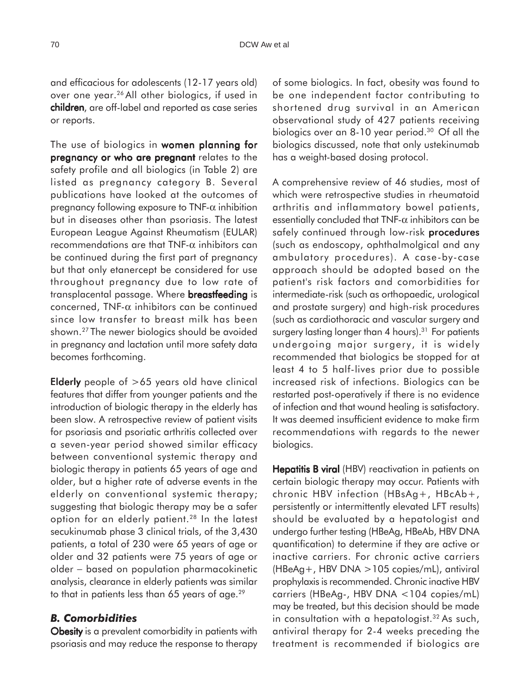and efficacious for adolescents (12-17 years old) over one year.26 All other biologics, if used in children, are off-label and reported as case series or reports.

The use of biologics in women planning for pregnancy or who are pregnant relates to the safety profile and all biologics (in Table 2) are listed as pregnancy category B. Several publications have looked at the outcomes of pregnancy following exposure to  $TNF-\alpha$  inhibition but in diseases other than psoriasis. The latest European League Against Rheumatism (EULAR) recommendations are that TNF- $\alpha$  inhibitors can be continued during the first part of pregnancy but that only etanercept be considered for use throughout pregnancy due to low rate of transplacental passage. Where **breastfeeding** is concerned, TNF- $\alpha$  inhibitors can be continued since low transfer to breast milk has been shown.27 The newer biologics should be avoided in pregnancy and lactation until more safety data becomes forthcoming.

Elderly people of  $>65$  years old have clinical features that differ from younger patients and the introduction of biologic therapy in the elderly has been slow. A retrospective review of patient visits for psoriasis and psoriatic arthritis collected over a seven-year period showed similar efficacy between conventional systemic therapy and biologic therapy in patients 65 years of age and older, but a higher rate of adverse events in the elderly on conventional systemic therapy; suggesting that biologic therapy may be a safer option for an elderly patient.28 In the latest secukinumab phase 3 clinical trials, of the 3,430 patients, a total of 230 were 65 years of age or older and 32 patients were 75 years of age or older − based on population pharmacokinetic analysis, clearance in elderly patients was similar to that in patients less than 65 years of age.<sup>29</sup>

#### *B. Comorbidities*

Obesity is a prevalent comorbidity in patients with psoriasis and may reduce the response to therapy of some biologics. In fact, obesity was found to be one independent factor contributing to shortened drug survival in an American observational study of 427 patients receiving biologics over an 8-10 year period.30 Of all the biologics discussed, note that only ustekinumab has a weight-based dosing protocol.

A comprehensive review of 46 studies, most of which were retrospective studies in rheumatoid arthritis and inflammatory bowel patients, essentially concluded that TNF- $\alpha$  inhibitors can be safely continued through low-risk **procedures** (such as endoscopy, ophthalmolgical and any ambulatory procedures). A case-by-case approach should be adopted based on the patient's risk factors and comorbidities for intermediate-risk (such as orthopaedic, urological and prostate surgery) and high-risk procedures (such as cardiothoracic and vascular surgery and surgery lasting longer than 4 hours).<sup>31</sup> For patients undergoing major surgery, it is widely recommended that biologics be stopped for at least 4 to 5 half-lives prior due to possible increased risk of infections. Biologics can be restarted post-operatively if there is no evidence of infection and that wound healing is satisfactory. It was deemed insufficient evidence to make firm recommendations with regards to the newer biologics.

Hepatitis B viral (HBV) reactivation in patients on certain biologic therapy may occur. Patients with chronic HBV infection (HBsAg+, HBcAb+, persistently or intermittently elevated LFT results) should be evaluated by a hepatologist and undergo further testing (HBeAg, HBeAb, HBV DNA quantification) to determine if they are active or inactive carriers. For chronic active carriers (HBeAg+, HBV DNA >105 copies/mL), antiviral prophylaxis is recommended. Chronic inactive HBV carriers (HBeAg-, HBV DNA <104 copies/mL) may be treated, but this decision should be made in consultation with a hepatologist.<sup>32</sup> As such, antiviral therapy for 2-4 weeks preceding the treatment is recommended if biologics are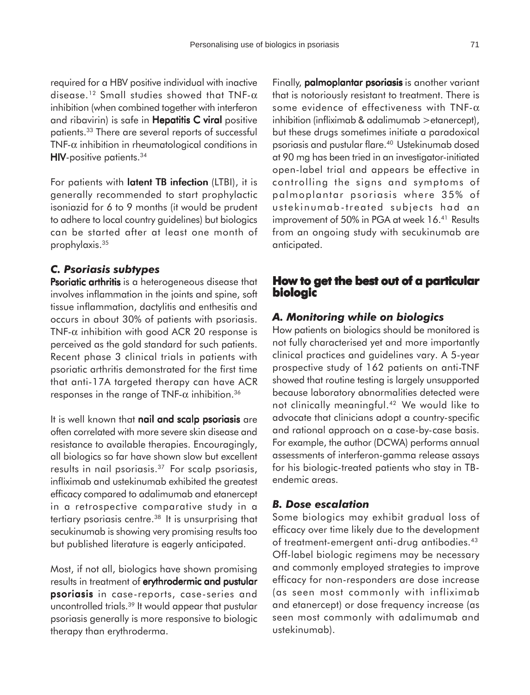required for a HBV positive individual with inactive disease.<sup>12</sup> Small studies showed that TNF- $\alpha$ inhibition (when combined together with interferon and ribavirin) is safe in Hepatitis C viral positive patients.33 There are several reports of successful TNF- $\alpha$  inhibition in rheumatological conditions in  $HIV$ -positive patients.  $34$ 

For patients with latent TB infection (LTBI), it is generally recommended to start prophylactic isoniazid for 6 to 9 months (it would be prudent to adhere to local country guidelines) but biologics can be started after at least one month of prophylaxis.35

#### *C. Psoriasis subtypes*

Psoriatic arthritis is a heterogeneous disease that involves inflammation in the joints and spine, soft tissue inflammation, dactylitis and enthesitis and occurs in about 30% of patients with psoriasis. TNF- $\alpha$  inhibition with good ACR 20 response is perceived as the gold standard for such patients. Recent phase 3 clinical trials in patients with psoriatic arthritis demonstrated for the first time that anti-17A targeted therapy can have ACR responses in the range of TNF- $\alpha$  inhibition.<sup>36</sup>

It is well known that nail and scalp psoriasis are often correlated with more severe skin disease and resistance to available therapies. Encouragingly, all biologics so far have shown slow but excellent results in nail psoriasis. $37$  For scalp psoriasis, infliximab and ustekinumab exhibited the greatest efficacy compared to adalimumab and etanercept in a retrospective comparative study in a tertiary psoriasis centre.<sup>38</sup> It is unsurprising that secukinumab is showing very promising results too but published literature is eagerly anticipated.

Most, if not all, biologics have shown promising results in treatment of erythrodermic and pustular psoriasis in case-reports, case-series and uncontrolled trials.39 It would appear that pustular psoriasis generally is more responsive to biologic therapy than erythroderma.

Finally, palmoplantar psoriasis is another variant that is notoriously resistant to treatment. There is some evidence of effectiveness with TNF- $\alpha$ inhibition (infliximab & adalimumab >etanercept), but these drugs sometimes initiate a paradoxical psoriasis and pustular flare.40 Ustekinumab dosed at 90 mg has been tried in an investigator-initiated open-label trial and appears be effective in controlling the signs and symptoms of palmoplantar psoriasis where 35% of ustekinumab-treated subjects had an improvement of 50% in PGA at week 16.<sup>41</sup> Results from an ongoing study with secukinumab are anticipated.

## **How to get the best out of a particular biologic**

### *A. Monitoring while on biologics*

How patients on biologics should be monitored is not fully characterised yet and more importantly clinical practices and guidelines vary. A 5-year prospective study of 162 patients on anti-TNF showed that routine testing is largely unsupported because laboratory abnormalities detected were not clinically meaningful.42 We would like to advocate that clinicians adopt a country-specific and rational approach on a case-by-case basis. For example, the author (DCWA) performs annual assessments of interferon-gamma release assays for his biologic-treated patients who stay in TBendemic areas.

## *B. Dose escalation*

Some biologics may exhibit gradual loss of efficacy over time likely due to the development of treatment-emergent anti-drug antibodies.43 Off-label biologic regimens may be necessary and commonly employed strategies to improve efficacy for non-responders are dose increase (as seen most commonly with infliximab and etanercept) or dose frequency increase (as seen most commonly with adalimumab and ustekinumab).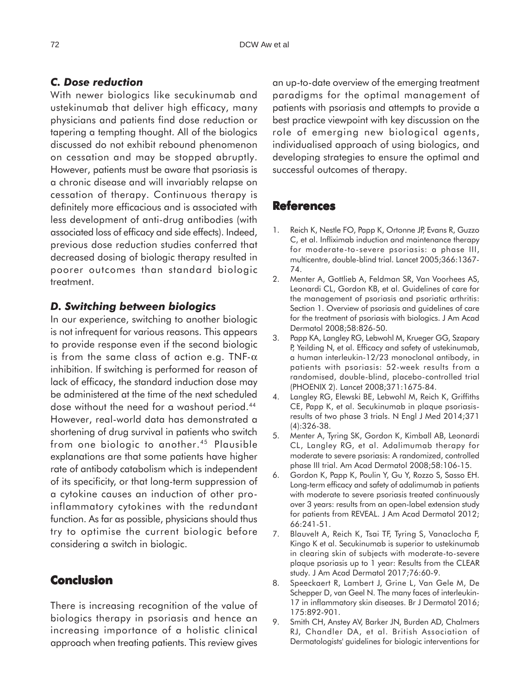## *C. Dose reduction*

With newer biologics like secukinumab and ustekinumab that deliver high efficacy, many physicians and patients find dose reduction or tapering a tempting thought. All of the biologics discussed do not exhibit rebound phenomenon on cessation and may be stopped abruptly. However, patients must be aware that psoriasis is a chronic disease and will invariably relapse on cessation of therapy. Continuous therapy is definitely more efficacious and is associated with less development of anti-drug antibodies (with associated loss of efficacy and side effects). Indeed, previous dose reduction studies conferred that decreased dosing of biologic therapy resulted in poorer outcomes than standard biologic treatment.

## *D. Switching between biologics*

In our experience, switching to another biologic is not infrequent for various reasons. This appears to provide response even if the second biologic is from the same class of action e.g. TNF- $\alpha$ inhibition. If switching is performed for reason of lack of efficacy, the standard induction dose may be administered at the time of the next scheduled dose without the need for a washout period.44 However, real-world data has demonstrated a shortening of drug survival in patients who switch from one biologic to another.<sup>45</sup> Plausible explanations are that some patients have higher rate of antibody catabolism which is independent of its specificity, or that long-term suppression of a cytokine causes an induction of other proinflammatory cytokines with the redundant function. As far as possible, physicians should thus try to optimise the current biologic before considering a switch in biologic.

# **Conclusion**

There is increasing recognition of the value of biologics therapy in psoriasis and hence an increasing importance of a holistic clinical approach when treating patients. This review gives

an up-to-date overview of the emerging treatment paradigms for the optimal management of patients with psoriasis and attempts to provide a best practice viewpoint with key discussion on the role of emerging new biological agents, individualised approach of using biologics, and developing strategies to ensure the optimal and successful outcomes of therapy.

#### **References**

- 1. Reich K, Nestle FO, Papp K, Ortonne JP, Evans R, Guzzo C, et al. Infliximab induction and maintenance therapy for moderate-to-severe psoriasis: a phase III, multicentre, double-blind trial. Lancet 2005;366:1367- 74.
- 2. Menter A, Gottlieb A, Feldman SR, Van Voorhees AS, Leonardi CL, Gordon KB, et al. Guidelines of care for the management of psoriasis and psoriatic arthritis: Section 1. Overview of psoriasis and guidelines of care for the treatment of psoriasis with biologics. J Am Acad Dermatol 2008;58:826-50.
- 3. Papp KA, Langley RG, Lebwohl M, Krueger GG, Szapary P, Yeilding N, et al. Efficacy and safety of ustekinumab, a human interleukin-12/23 monoclonal antibody, in patients with psoriasis: 52-week results from a randomised, double-blind, placebo-controlled trial (PHOENIX 2). Lancet 2008;371:1675-84.
- 4. Langley RG, Elewski BE, Lebwohl M, Reich K, Griffiths CE, Papp K, et al. Secukinumab in plaque psoriasisresults of two phase 3 trials. N Engl J Med 2014;371 (4):326-38.
- 5. Menter A, Tyring SK, Gordon K, Kimball AB, Leonardi CL, Langley RG, et al. Adalimumab therapy for moderate to severe psoriasis: A randomized, controlled phase III trial. Am Acad Dermatol 2008;58:106-15.
- 6. Gordon K, Papp K, Poulin Y, Gu Y, Rozzo S, Sasso EH. Long-term efficacy and safety of adalimumab in patients with moderate to severe psoriasis treated continuously over 3 years: results from an open-label extension study for patients from REVEAL. J Am Acad Dermatol 2012; 66:241-51.
- 7. Blauvelt A, Reich K, Tsai TF, Tyring S, Vanaclocha F, Kingo K et al. Secukinumab is superior to ustekinumab in clearing skin of subjects with moderate-to-severe plaque psoriasis up to 1 year: Results from the CLEAR study. J Am Acad Dermatol 2017;76:60-9.
- 8. Speeckaert R, Lambert J, Grine L, Van Gele M, De Schepper D, van Geel N. The many faces of interleukin-17 in inflammatory skin diseases. Br J Dermatol 2016; 175:892-901.
- 9. Smith CH, Anstey AV, Barker JN, Burden AD, Chalmers RJ, Chandler DA, et al. British Association of Dermatologists' guidelines for biologic interventions for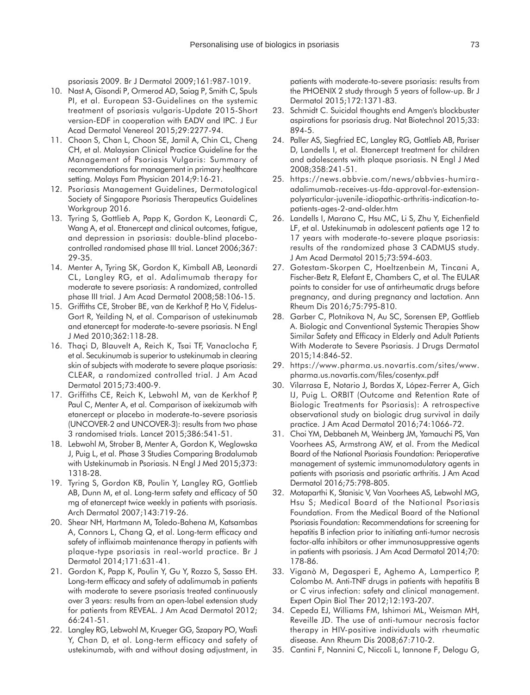psoriasis 2009. Br J Dermatol 2009;161:987-1019.

- 10. Nast A, Gisondi P, Ormerod AD, Saiag P, Smith C, Spuls PI, et al. European S3-Guidelines on the systemic treatment of psoriasis vulgaris-Update 2015-Short version-EDF in cooperation with EADV and IPC. J Eur Acad Dermatol Venereol 2015;29:2277-94.
- 11. Choon S, Chan L, Choon SE, Jamil A, Chin CL, Cheng CH, et al. Malaysian Clinical Practice Guideline for the Management of Psoriasis Vulgaris: Summary of recommendations for management in primary healthcare setting. Malays Fam Physician 2014;9:16-21.
- 12. Psoriasis Management Guidelines, Dermatological Society of Singapore Psoriasis Therapeutics Guidelines Workgroup 2016.
- 13. Tyring S, Gottlieb A, Papp K, Gordon K, Leonardi C, Wang A, et al. Etanercept and clinical outcomes, fatigue, and depression in psoriasis: double-blind placebocontrolled randomised phase III trial. Lancet 2006;367: 29-35.
- 14. Menter A, Tyring SK, Gordon K, Kimball AB, Leonardi CL, Langley RG, et al. Adalimumab therapy for moderate to severe psoriasis: A randomized, controlled phase III trial. J Am Acad Dermatol 2008;58:106-15.
- 15. Griffiths CE, Strober BE, van de Kerkhof P, Ho V, Fidelus-Gort R, Yeilding N, et al. Comparison of ustekinumab and etanercept for moderate-to-severe psoriasis. N Engl J Med 2010;362:118-28.
- 16. Thaçi D, Blauvelt A, Reich K, Tsai TF, Vanaclocha F, et al. Secukinumab is superior to ustekinumab in clearing skin of subjects with moderate to severe plaque psoriasis: CLEAR, a randomized controlled trial. J Am Acad Dermatol 2015;73:400-9.
- 17. Griffiths CE, Reich K, Lebwohl M, van de Kerkhof P, Paul C, Menter A, et al. Comparison of ixekizumab with etanercept or placebo in moderate-to-severe psoriasis (UNCOVER-2 and UNCOVER-3): results from two phase 3 randomised trials. Lancet 2015;386:541-51.
- 18. Lebwohl M, Strober B, Menter A, Gordon K, Weglowska J, Puig L, et al. Phase 3 Studies Comparing Brodalumab with Ustekinumab in Psoriasis. N Engl J Med 2015;373: 1318-28.
- 19. Tyring S, Gordon KB, Poulin Y, Langley RG, Gottlieb AB, Dunn M, et al. Long-term safety and efficacy of 50 mg of etanercept twice weekly in patients with psoriasis. Arch Dermatol 2007;143:719-26.
- 20. Shear NH, Hartmann M, Toledo-Bahena M, Katsambas A, Connors L, Chang Q, et al. Long-term efficacy and safety of infliximab maintenance therapy in patients with plaque-type psoriasis in real-world practice. Br J Dermatol 2014;171:631-41.
- 21. Gordon K, Papp K, Poulin Y, Gu Y, Rozzo S, Sasso EH. Long-term efficacy and safety of adalimumab in patients with moderate to severe psoriasis treated continuously over 3 years: results from an open-label extension study for patients from REVEAL. J Am Acad Dermatol 2012; 66:241-51.
- 22. Langley RG, Lebwohl M, Krueger GG, Szapary PO, Wasfi Y, Chan D, et al. Long-term efficacy and safety of ustekinumab, with and without dosing adjustment, in

patients with moderate-to-severe psoriasis: results from the PHOENIX 2 study through 5 years of follow-up. Br J Dermatol 2015;172:1371-83.

- 23. Schmidt C. Suicidal thoughts end Amgen's blockbuster aspirations for psoriasis drug. Nat Biotechnol 2015;33: 894-5.
- 24. Paller AS, Siegfried EC, Langley RG, Gottlieb AB, Pariser D, Landells I, et al. Etanercept treatment for children and adolescents with plaque psoriasis. N Engl J Med 2008;358:241-51.
- 25. https://news.abbvie.com/news/abbvies-humiraadalimumab-receives-us-fda-approval-for-extensionpolyarticular-juvenile-idiopathic-arthritis-indication-topatients-ages-2-and-older.htm
- 26. Landells I, Marano C, Hsu MC, Li S, Zhu Y, Eichenfield LF, et al. Ustekinumab in adolescent patients age 12 to 17 years with moderate-to-severe plaque psoriasis: results of the randomized phase 3 CADMUS study. J Am Acad Dermatol 2015;73:594-603.
- 27. Gotestam-Skorpen C, Hoeltzenbein M, Tincani A, Fischer-Betz R, Elefant E, Chambers C, et al. The EULAR points to consider for use of antirheumatic drugs before pregnancy, and during pregnancy and lactation. Ann Rheum Dis 2016;75:795-810.
- 28. Garber C, Plotnikova N, Au SC, Sorensen EP, Gottlieb A. Biologic and Conventional Systemic Therapies Show Similar Safety and Efficacy in Elderly and Adult Patients With Moderate to Severe Psoriasis. J Drugs Dermatol 2015;14:846-52.
- 29. https://www.pharma.us.novartis.com/sites/www. pharma.us.novartis.com/files/cosentyx.pdf
- 30. Vilarrasa E, Notario J, Bordas X, López-Ferrer A, Gich IJ, Puig L. ORBIT (Outcome and Retention Rate of Biologic Treatments for Psoriasis): A retrospective observational study on biologic drug survival in daily practice. J Am Acad Dermatol 2016;74:1066-72.
- 31. Choi YM, Debbaneh M, Weinberg JM, Yamauchi PS, Van Voorhees AS, Armstrong AW, et al. From the Medical Board of the National Psoriasis Foundation: Perioperative management of systemic immunomodulatory agents in patients with psoriasis and psoriatic arthritis. J Am Acad Dermatol 2016;75:798-805.
- 32. Motaparthi K, Stanisic V, Van Voorhees AS, Lebwohl MG, Hsu S; Medical Board of the National Psoriasis Foundation. From the Medical Board of the National Psoriasis Foundation: Recommendations for screening for hepatitis B infection prior to initiating anti-tumor necrosis factor-alfa inhibitors or other immunosuppressive agents in patients with psoriasis. J Am Acad Dermatol 2014;70: 178-86.
- 33. Viganò M, Degasperi E, Aghemo A, Lampertico P, Colombo M. Anti-TNF drugs in patients with hepatitis B or C virus infection: safety and clinical management. Expert Opin Biol Ther 2012;12:193-207.
- 34. Cepeda EJ, Williams FM, Ishimori ML, Weisman MH, Reveille JD. The use of anti-tumour necrosis factor therapy in HIV-positive individuals with rheumatic disease. Ann Rheum Dis 2008;67:710-2.
- 35. Cantini F, Nannini C, Niccoli L, Iannone F, Delogu G,